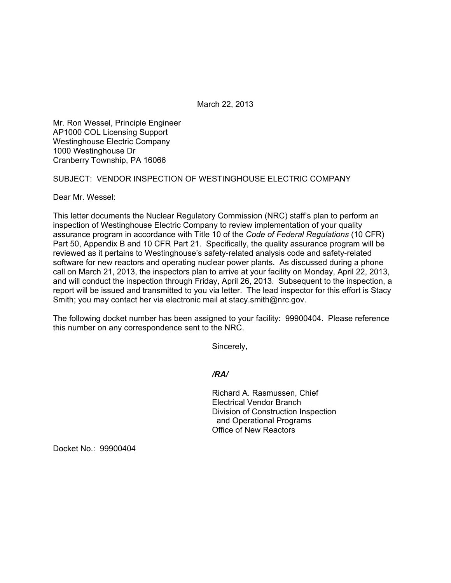March 22, 2013

Mr. Ron Wessel, Principle Engineer AP1000 COL Licensing Support Westinghouse Electric Company 1000 Westinghouse Dr Cranberry Township, PA 16066

SUBJECT: VENDOR INSPECTION OF WESTINGHOUSE ELECTRIC COMPANY

Dear Mr. Wessel:

This letter documents the Nuclear Regulatory Commission (NRC) staff's plan to perform an inspection of Westinghouse Electric Company to review implementation of your quality assurance program in accordance with Title 10 of the *Code of Federal Regulations* (10 CFR) Part 50, Appendix B and 10 CFR Part 21. Specifically, the quality assurance program will be reviewed as it pertains to Westinghouse's safety-related analysis code and safety-related software for new reactors and operating nuclear power plants. As discussed during a phone call on March 21, 2013, the inspectors plan to arrive at your facility on Monday, April 22, 2013, and will conduct the inspection through Friday, April 26, 2013. Subsequent to the inspection, a report will be issued and transmitted to you via letter. The lead inspector for this effort is Stacy Smith; you may contact her via electronic mail at stacy.smith@nrc.gov.

The following docket number has been assigned to your facility: 99900404. Please reference this number on any correspondence sent to the NRC.

Sincerely,

*/RA/* 

Richard A. Rasmussen, Chief Electrical Vendor Branch Division of Construction Inspection and Operational Programs Office of New Reactors

Docket No.: 99900404